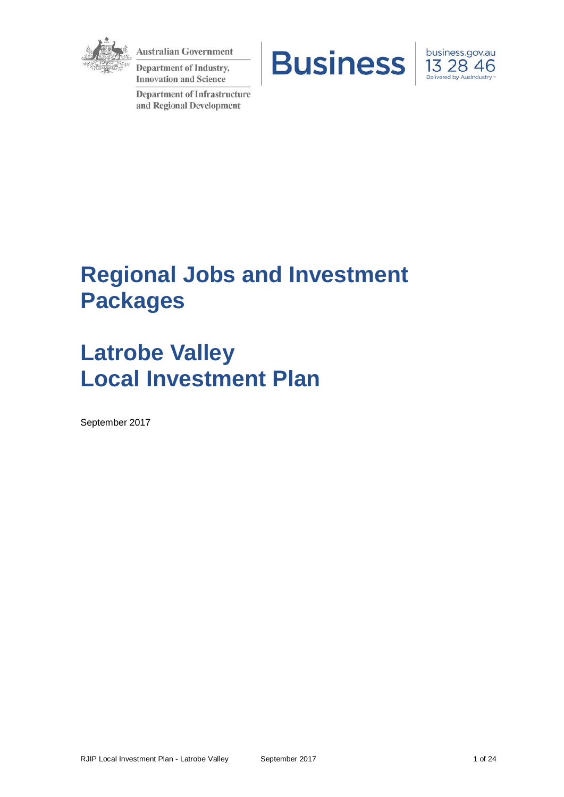

**Australian Government** 

Department of Industry, **Innovation and Science** 

**Department of Infrastructure** and Regional Development





# **Regional Jobs and Investment Packages**

# **Latrobe Valley Local Investment Plan**

September 2017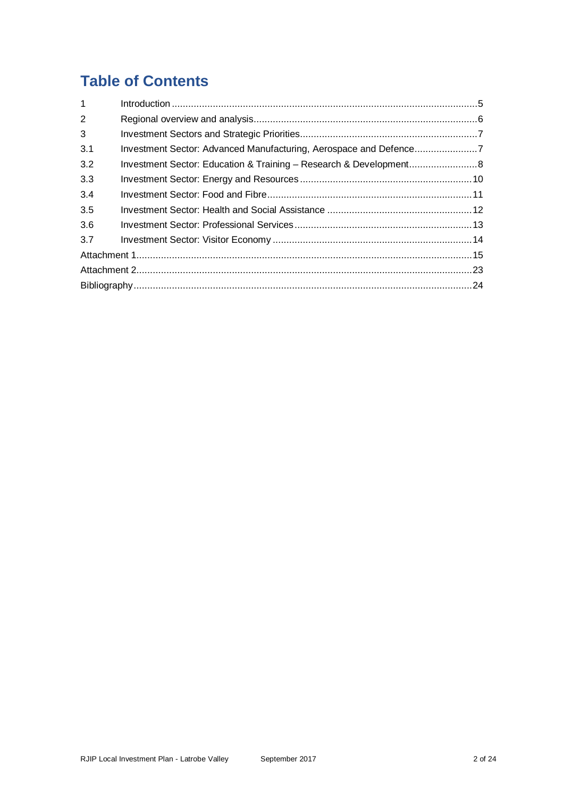## **Table of Contents**

| $\mathbf{1}$   |  |
|----------------|--|
| $\overline{2}$ |  |
| 3              |  |
| 3.1            |  |
| 3.2            |  |
| 3.3            |  |
| 3.4            |  |
| 3.5            |  |
| 3.6            |  |
| 3.7            |  |
|                |  |
|                |  |
|                |  |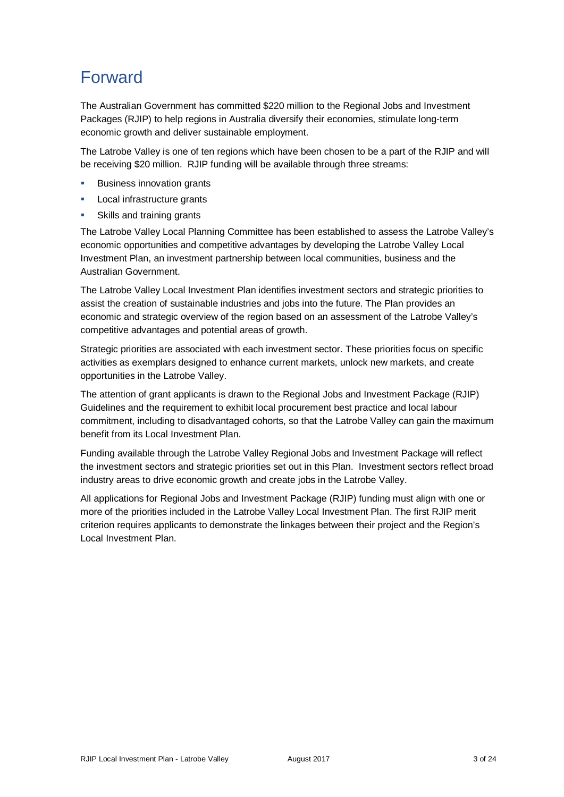## Forward

The Australian Government has committed \$220 million to the Regional Jobs and Investment Packages (RJIP) to help regions in Australia diversify their economies, stimulate long-term economic growth and deliver sustainable employment.

The Latrobe Valley is one of ten regions which have been chosen to be a part of the RJIP and will be receiving \$20 million. RJIP funding will be available through three streams:

- Business innovation grants
- Local infrastructure grants
- Skills and training grants

The Latrobe Valley Local Planning Committee has been established to assess the Latrobe Valley's economic opportunities and competitive advantages by developing the Latrobe Valley Local Investment Plan, an investment partnership between local communities, business and the Australian Government.

The Latrobe Valley Local Investment Plan identifies investment sectors and strategic priorities to assist the creation of sustainable industries and jobs into the future. The Plan provides an economic and strategic overview of the region based on an assessment of the Latrobe Valley's competitive advantages and potential areas of growth.

Strategic priorities are associated with each investment sector. These priorities focus on specific activities as exemplars designed to enhance current markets, unlock new markets, and create opportunities in the Latrobe Valley.

The attention of grant applicants is drawn to the Regional Jobs and Investment Package (RJIP) Guidelines and the requirement to exhibit local procurement best practice and local labour commitment, including to disadvantaged cohorts, so that the Latrobe Valley can gain the maximum benefit from its Local Investment Plan.

Funding available through the Latrobe Valley Regional Jobs and Investment Package will reflect the investment sectors and strategic priorities set out in this Plan. Investment sectors reflect broad industry areas to drive economic growth and create jobs in the Latrobe Valley.

All applications for Regional Jobs and Investment Package (RJIP) funding must align with one or more of the priorities included in the Latrobe Valley Local Investment Plan. The first RJIP merit criterion requires applicants to demonstrate the linkages between their project and the Region's Local Investment Plan.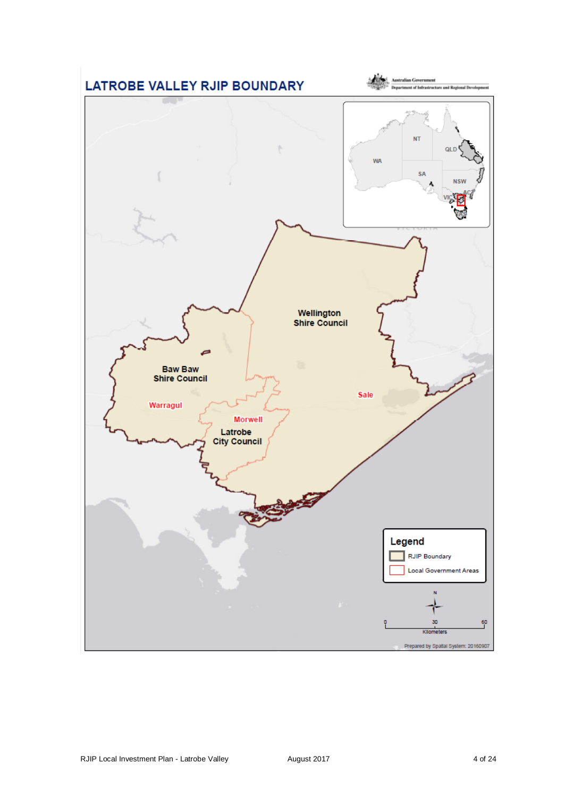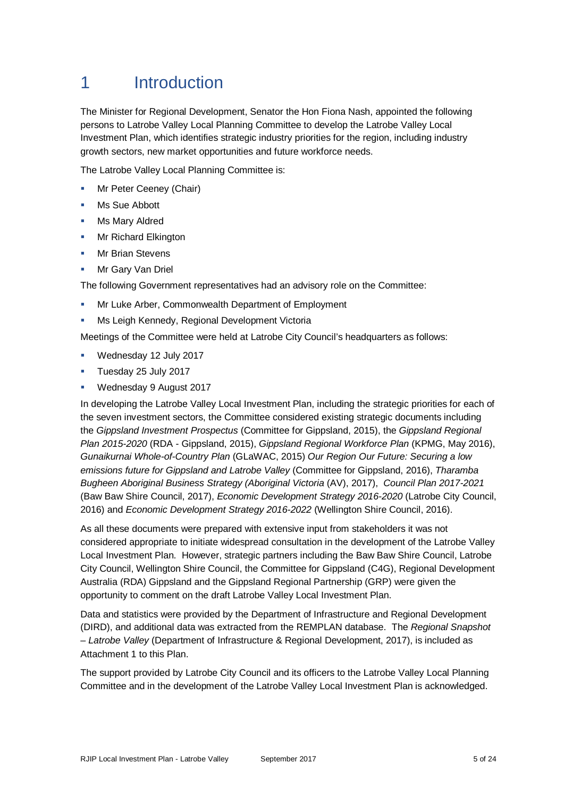## 1 Introduction

The Minister for Regional Development, Senator the Hon Fiona Nash, appointed the following persons to Latrobe Valley Local Planning Committee to develop the Latrobe Valley Local Investment Plan, which identifies strategic industry priorities for the region, including industry growth sectors, new market opportunities and future workforce needs.

The Latrobe Valley Local Planning Committee is:

- Mr Peter Ceeney (Chair)
- Ms Sue Abbott
- Ms Mary Aldred
- **Mr Richard Elkington**
- Mr Brian Stevens
- Mr Gary Van Driel

The following Government representatives had an advisory role on the Committee:

- Mr Luke Arber, Commonwealth Department of Employment
- Ms Leigh Kennedy, Regional Development Victoria

Meetings of the Committee were held at Latrobe City Council's headquarters as follows:

- Wednesday 12 July 2017
- **Tuesday 25 July 2017**
- Wednesday 9 August 2017

In developing the Latrobe Valley Local Investment Plan, including the strategic priorities for each of the seven investment sectors, the Committee considered existing strategic documents including the *Gippsland Investment Prospectus* (Committee for Gippsland, 2015), the *Gippsland Regional Plan 2015-2020* (RDA - Gippsland, 2015), *Gippsland Regional Workforce Plan* (KPMG, May 2016), *Gunaikurnai Whole-of-Country Plan* (GLaWAC, 2015) *Our Region Our Future: Securing a low emissions future for Gippsland and Latrobe Valley* (Committee for Gippsland, 2016), *Tharamba Bugheen Aboriginal Business Strategy (Aboriginal Victoria* (AV), 2017), *Council Plan 2017-2021* (Baw Baw Shire Council, 2017), *Economic Development Strategy 2016-2020* (Latrobe City Council, 2016) and *Economic Development Strategy 2016-2022* (Wellington Shire Council, 2016).

As all these documents were prepared with extensive input from stakeholders it was not considered appropriate to initiate widespread consultation in the development of the Latrobe Valley Local Investment Plan. However, strategic partners including the Baw Baw Shire Council, Latrobe City Council, Wellington Shire Council, the Committee for Gippsland (C4G), Regional Development Australia (RDA) Gippsland and the Gippsland Regional Partnership (GRP) were given the opportunity to comment on the draft Latrobe Valley Local Investment Plan.

Data and statistics were provided by the Department of Infrastructure and Regional Development (DIRD), and additional data was extracted from the REMPLAN database. The *Regional Snapshot – Latrobe Valley* (Department of Infrastructure & Regional Development, 2017), is included as Attachment 1 to this Plan.

The support provided by Latrobe City Council and its officers to the Latrobe Valley Local Planning Committee and in the development of the Latrobe Valley Local Investment Plan is acknowledged.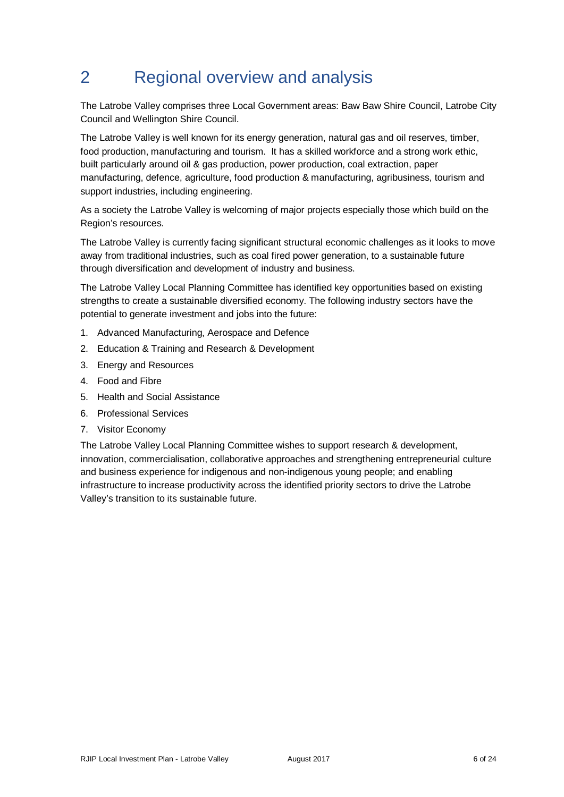## 2 Regional overview and analysis

The Latrobe Valley comprises three Local Government areas: Baw Baw Shire Council, Latrobe City Council and Wellington Shire Council.

The Latrobe Valley is well known for its energy generation, natural gas and oil reserves, timber, food production, manufacturing and tourism. It has a skilled workforce and a strong work ethic, built particularly around oil & gas production, power production, coal extraction, paper manufacturing, defence, agriculture, food production & manufacturing, agribusiness, tourism and support industries, including engineering.

As a society the Latrobe Valley is welcoming of major projects especially those which build on the Region's resources.

The Latrobe Valley is currently facing significant structural economic challenges as it looks to move away from traditional industries, such as coal fired power generation, to a sustainable future through diversification and development of industry and business.

The Latrobe Valley Local Planning Committee has identified key opportunities based on existing strengths to create a sustainable diversified economy. The following industry sectors have the potential to generate investment and jobs into the future:

- 1. Advanced Manufacturing, Aerospace and Defence
- 2. Education & Training and Research & Development
- 3. Energy and Resources
- 4. Food and Fibre
- 5. Health and Social Assistance
- 6. Professional Services
- 7. Visitor Economy

The Latrobe Valley Local Planning Committee wishes to support research & development, innovation, commercialisation, collaborative approaches and strengthening entrepreneurial culture and business experience for indigenous and non-indigenous young people; and enabling infrastructure to increase productivity across the identified priority sectors to drive the Latrobe Valley's transition to its sustainable future.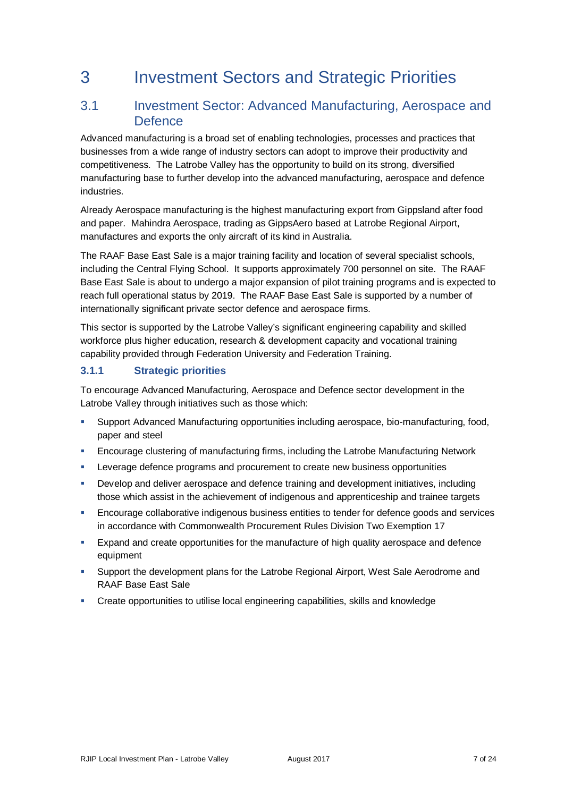## 3 Investment Sectors and Strategic Priorities

## 3.1 Investment Sector: Advanced Manufacturing, Aerospace and **Defence**

Advanced manufacturing is a broad set of enabling technologies, processes and practices that businesses from a wide range of industry sectors can adopt to improve their productivity and competitiveness. The Latrobe Valley has the opportunity to build on its strong, diversified manufacturing base to further develop into the advanced manufacturing, aerospace and defence industries.

Already Aerospace manufacturing is the highest manufacturing export from Gippsland after food and paper. Mahindra Aerospace, trading as GippsAero based at Latrobe Regional Airport, manufactures and exports the only aircraft of its kind in Australia.

The RAAF Base East Sale is a major training facility and location of several specialist schools, including the Central Flying School. It supports approximately 700 personnel on site. The RAAF Base East Sale is about to undergo a major expansion of pilot training programs and is expected to reach full operational status by 2019. The RAAF Base East Sale is supported by a number of internationally significant private sector defence and aerospace firms.

This sector is supported by the Latrobe Valley's significant engineering capability and skilled workforce plus higher education, research & development capacity and vocational training capability provided through Federation University and Federation Training.

## **3.1.1 Strategic priorities**

To encourage Advanced Manufacturing, Aerospace and Defence sector development in the Latrobe Valley through initiatives such as those which:

- Support Advanced Manufacturing opportunities including aerospace, bio-manufacturing, food, paper and steel
- Encourage clustering of manufacturing firms, including the Latrobe Manufacturing Network
- Leverage defence programs and procurement to create new business opportunities
- Develop and deliver aerospace and defence training and development initiatives, including those which assist in the achievement of indigenous and apprenticeship and trainee targets
- Encourage collaborative indigenous business entities to tender for defence goods and services in accordance with Commonwealth Procurement Rules Division Two Exemption 17
- Expand and create opportunities for the manufacture of high quality aerospace and defence equipment
- Support the development plans for the Latrobe Regional Airport, West Sale Aerodrome and RAAF Base East Sale
- Create opportunities to utilise local engineering capabilities, skills and knowledge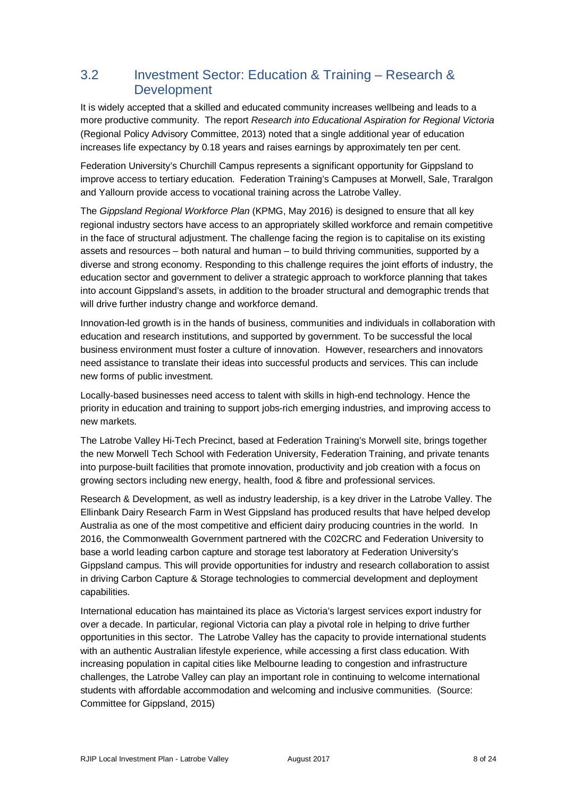## 3.2 Investment Sector: Education & Training – Research & Development

It is widely accepted that a skilled and educated community increases wellbeing and leads to a more productive community. The report *Research into Educational Aspiration for Regional Victoria* (Regional Policy Advisory Committee, 2013) noted that a single additional year of education increases life expectancy by 0.18 years and raises earnings by approximately ten per cent.

Federation University's Churchill Campus represents a significant opportunity for Gippsland to improve access to tertiary education. Federation Training's Campuses at Morwell, Sale, Traralgon and Yallourn provide access to vocational training across the Latrobe Valley.

The *Gippsland Regional Workforce Plan* (KPMG, May 2016) is designed to ensure that all key regional industry sectors have access to an appropriately skilled workforce and remain competitive in the face of structural adjustment. The challenge facing the region is to capitalise on its existing assets and resources – both natural and human – to build thriving communities, supported by a diverse and strong economy. Responding to this challenge requires the joint efforts of industry, the education sector and government to deliver a strategic approach to workforce planning that takes into account Gippsland's assets, in addition to the broader structural and demographic trends that will drive further industry change and workforce demand.

Innovation-led growth is in the hands of business, communities and individuals in collaboration with education and research institutions, and supported by government. To be successful the local business environment must foster a culture of innovation. However, researchers and innovators need assistance to translate their ideas into successful products and services. This can include new forms of public investment.

Locally-based businesses need access to talent with skills in high-end technology. Hence the priority in education and training to support jobs-rich emerging industries, and improving access to new markets.

The Latrobe Valley Hi-Tech Precinct, based at Federation Training's Morwell site, brings together the new Morwell Tech School with Federation University, Federation Training, and private tenants into purpose-built facilities that promote innovation, productivity and job creation with a focus on growing sectors including new energy, health, food & fibre and professional services.

Research & Development, as well as industry leadership, is a key driver in the Latrobe Valley. The Ellinbank Dairy Research Farm in West Gippsland has produced results that have helped develop Australia as one of the most competitive and efficient dairy producing countries in the world. In 2016, the Commonwealth Government partnered with the C02CRC and Federation University to base a world leading carbon capture and storage test laboratory at Federation University's Gippsland campus. This will provide opportunities for industry and research collaboration to assist in driving Carbon Capture & Storage technologies to commercial development and deployment capabilities.

International education has maintained its place as Victoria's largest services export industry for over a decade. In particular, regional Victoria can play a pivotal role in helping to drive further opportunities in this sector. The Latrobe Valley has the capacity to provide international students with an authentic Australian lifestyle experience, while accessing a first class education. With increasing population in capital cities like Melbourne leading to congestion and infrastructure challenges, the Latrobe Valley can play an important role in continuing to welcome international students with affordable accommodation and welcoming and inclusive communities. (Source: Committee for Gippsland, 2015)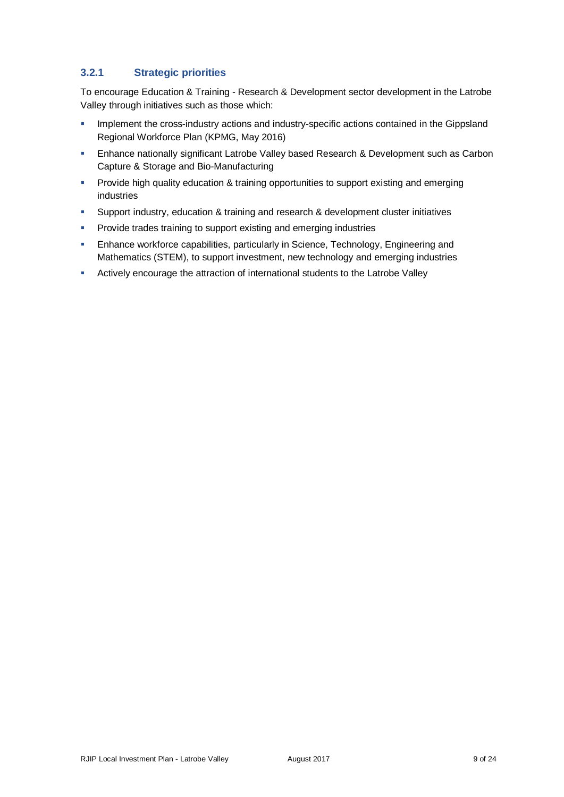## **3.2.1 Strategic priorities**

To encourage Education & Training - Research & Development sector development in the Latrobe Valley through initiatives such as those which:

- **Implement the cross-industry actions and industry-specific actions contained in the Gippsland** Regional Workforce Plan (KPMG, May 2016)
- Enhance nationally significant Latrobe Valley based Research & Development such as Carbon Capture & Storage and Bio-Manufacturing
- **Provide high quality education & training opportunities to support existing and emerging** industries
- **Support industry, education & training and research & development cluster initiatives**
- **Provide trades training to support existing and emerging industries**
- Enhance workforce capabilities, particularly in Science, Technology, Engineering and Mathematics (STEM), to support investment, new technology and emerging industries
- **-** Actively encourage the attraction of international students to the Latrobe Valley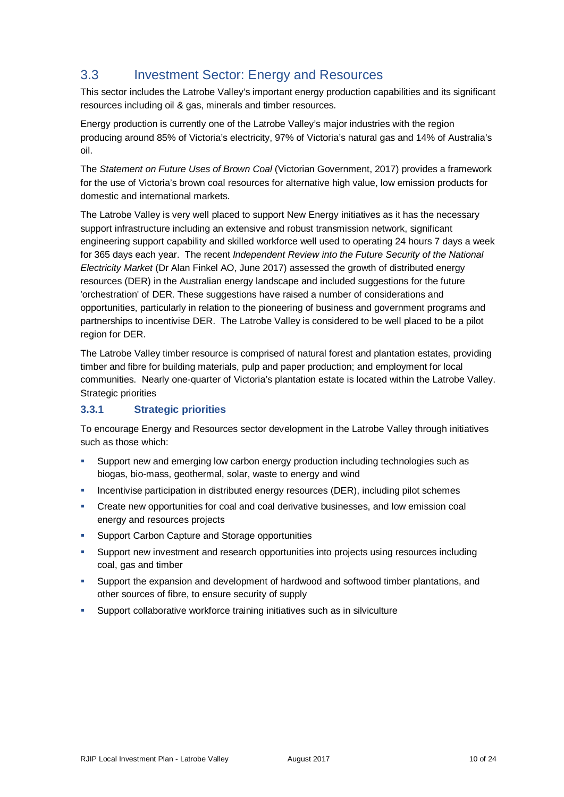## 3.3 Investment Sector: Energy and Resources

This sector includes the Latrobe Valley's important energy production capabilities and its significant resources including oil & gas, minerals and timber resources.

Energy production is currently one of the Latrobe Valley's major industries with the region producing around 85% of Victoria's electricity, 97% of Victoria's natural gas and 14% of Australia's oil.

The *Statement on Future Uses of Brown Coal* (Victorian Government, 2017) provides a framework for the use of Victoria's brown coal resources for alternative high value, low emission products for domestic and international markets.

The Latrobe Valley is very well placed to support New Energy initiatives as it has the necessary support infrastructure including an extensive and robust transmission network, significant engineering support capability and skilled workforce well used to operating 24 hours 7 days a week for 365 days each year. The recent *Independent Review into the Future Security of the National Electricity Market* (Dr Alan Finkel AO, June 2017) assessed the growth of distributed energy resources (DER) in the Australian energy landscape and included suggestions for the future 'orchestration' of DER. These suggestions have raised a number of considerations and opportunities, particularly in relation to the pioneering of business and government programs and partnerships to incentivise DER. The Latrobe Valley is considered to be well placed to be a pilot region for DER.

The Latrobe Valley timber resource is comprised of natural forest and plantation estates, providing timber and fibre for building materials, pulp and paper production; and employment for local communities. Nearly one-quarter of Victoria's plantation estate is located within the Latrobe Valley. Strategic priorities

## **3.3.1 Strategic priorities**

To encourage Energy and Resources sector development in the Latrobe Valley through initiatives such as those which:

- Support new and emerging low carbon energy production including technologies such as biogas, bio-mass, geothermal, solar, waste to energy and wind
- **Incentivise participation in distributed energy resources (DER), including pilot schemes**
- Create new opportunities for coal and coal derivative businesses, and low emission coal energy and resources projects
- **Support Carbon Capture and Storage opportunities**
- Support new investment and research opportunities into projects using resources including coal, gas and timber
- Support the expansion and development of hardwood and softwood timber plantations, and other sources of fibre, to ensure security of supply
- Support collaborative workforce training initiatives such as in silviculture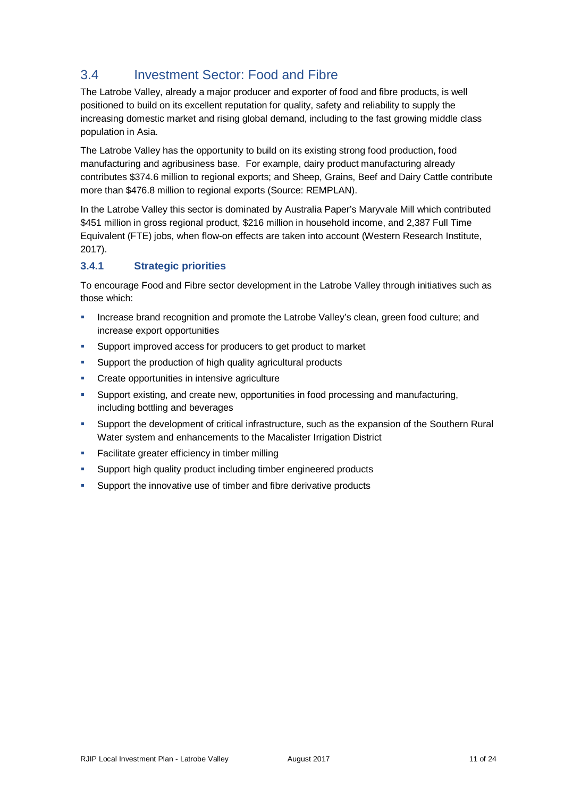## 3.4 Investment Sector: Food and Fibre

The Latrobe Valley, already a major producer and exporter of food and fibre products, is well positioned to build on its excellent reputation for quality, safety and reliability to supply the increasing domestic market and rising global demand, including to the fast growing middle class population in Asia.

The Latrobe Valley has the opportunity to build on its existing strong food production, food manufacturing and agribusiness base. For example, dairy product manufacturing already contributes \$374.6 million to regional exports; and Sheep, Grains, Beef and Dairy Cattle contribute more than \$476.8 million to regional exports (Source: REMPLAN).

In the Latrobe Valley this sector is dominated by Australia Paper's Maryvale Mill which contributed \$451 million in gross regional product, \$216 million in household income, and 2,387 Full Time Equivalent (FTE) jobs, when flow-on effects are taken into account (Western Research Institute, 2017).

## **3.4.1 Strategic priorities**

To encourage Food and Fibre sector development in the Latrobe Valley through initiatives such as those which:

- Increase brand recognition and promote the Latrobe Valley's clean, green food culture; and increase export opportunities
- Support improved access for producers to get product to market
- **Support the production of high quality agricultural products**
- **EXECTE Create opportunities in intensive agriculture**
- Support existing, and create new, opportunities in food processing and manufacturing, including bottling and beverages
- Support the development of critical infrastructure, such as the expansion of the Southern Rural Water system and enhancements to the Macalister Irrigation District
- **Facilitate greater efficiency in timber milling**
- **Support high quality product including timber engineered products**
- Support the innovative use of timber and fibre derivative products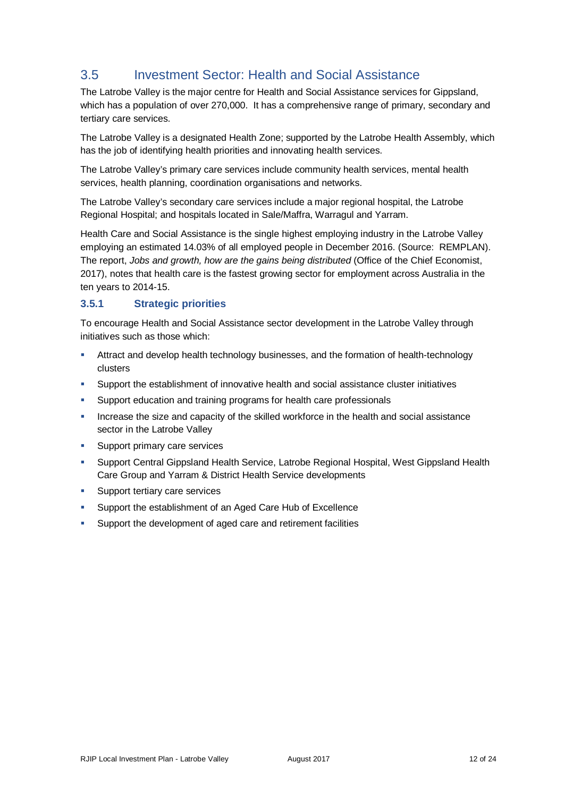## 3.5 Investment Sector: Health and Social Assistance

The Latrobe Valley is the major centre for Health and Social Assistance services for Gippsland, which has a population of over 270,000. It has a comprehensive range of primary, secondary and tertiary care services.

The Latrobe Valley is a designated Health Zone; supported by the Latrobe Health Assembly, which has the job of identifying health priorities and innovating health services.

The Latrobe Valley's primary care services include community health services, mental health services, health planning, coordination organisations and networks.

The Latrobe Valley's secondary care services include a major regional hospital, the Latrobe Regional Hospital; and hospitals located in Sale/Maffra, Warragul and Yarram.

Health Care and Social Assistance is the single highest employing industry in the Latrobe Valley employing an estimated 14.03% of all employed people in December 2016. (Source: REMPLAN). The report, *Jobs and growth, how are the gains being distributed* (Office of the Chief Economist, 2017), notes that health care is the fastest growing sector for employment across Australia in the ten years to 2014-15.

### **3.5.1 Strategic priorities**

To encourage Health and Social Assistance sector development in the Latrobe Valley through initiatives such as those which:

- Attract and develop health technology businesses, and the formation of health-technology clusters
- Support the establishment of innovative health and social assistance cluster initiatives
- **Support education and training programs for health care professionals**
- **Increase the size and capacity of the skilled workforce in the health and social assistance** sector in the Latrobe Valley
- Support primary care services
- Support Central Gippsland Health Service, Latrobe Regional Hospital, West Gippsland Health Care Group and Yarram & District Health Service developments
- **Support tertiary care services**
- Support the establishment of an Aged Care Hub of Excellence
- Support the development of aged care and retirement facilities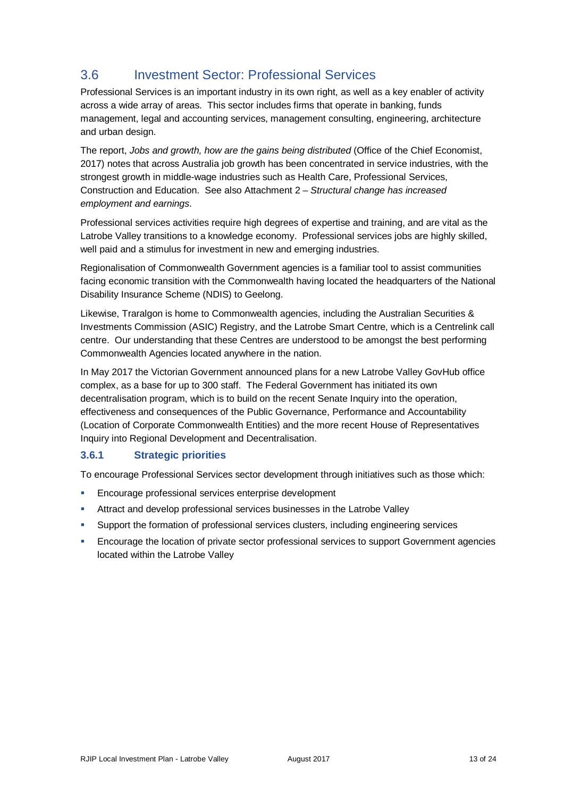## 3.6 Investment Sector: Professional Services

Professional Services is an important industry in its own right, as well as a key enabler of activity across a wide array of areas. This sector includes firms that operate in banking, funds management, legal and accounting services, management consulting, engineering, architecture and urban design.

The report, *Jobs and growth, how are the gains being distributed* (Office of the Chief Economist, 2017) notes that across Australia job growth has been concentrated in service industries, with the strongest growth in middle-wage industries such as Health Care, Professional Services, Construction and Education. See also Attachment 2 – *Structural change has increased employment and earnings*.

Professional services activities require high degrees of expertise and training, and are vital as the Latrobe Valley transitions to a knowledge economy. Professional services jobs are highly skilled, well paid and a stimulus for investment in new and emerging industries.

Regionalisation of Commonwealth Government agencies is a familiar tool to assist communities facing economic transition with the Commonwealth having located the headquarters of the National Disability Insurance Scheme (NDIS) to Geelong.

Likewise, Traralgon is home to Commonwealth agencies, including the Australian Securities & Investments Commission (ASIC) Registry, and the Latrobe Smart Centre, which is a Centrelink call centre. Our understanding that these Centres are understood to be amongst the best performing Commonwealth Agencies located anywhere in the nation.

In May 2017 the Victorian Government announced plans for a new Latrobe Valley GovHub office complex, as a base for up to 300 staff. The Federal Government has initiated its own decentralisation program, which is to build on the recent Senate Inquiry into the operation, effectiveness and consequences of the Public Governance, Performance and Accountability (Location of Corporate Commonwealth Entities) and the more recent House of Representatives Inquiry into Regional Development and Decentralisation.

## **3.6.1 Strategic priorities**

To encourage Professional Services sector development through initiatives such as those which:

- **Encourage professional services enterprise development**
- **Attract and develop professional services businesses in the Latrobe Valley**
- Support the formation of professional services clusters, including engineering services
- Encourage the location of private sector professional services to support Government agencies located within the Latrobe Valley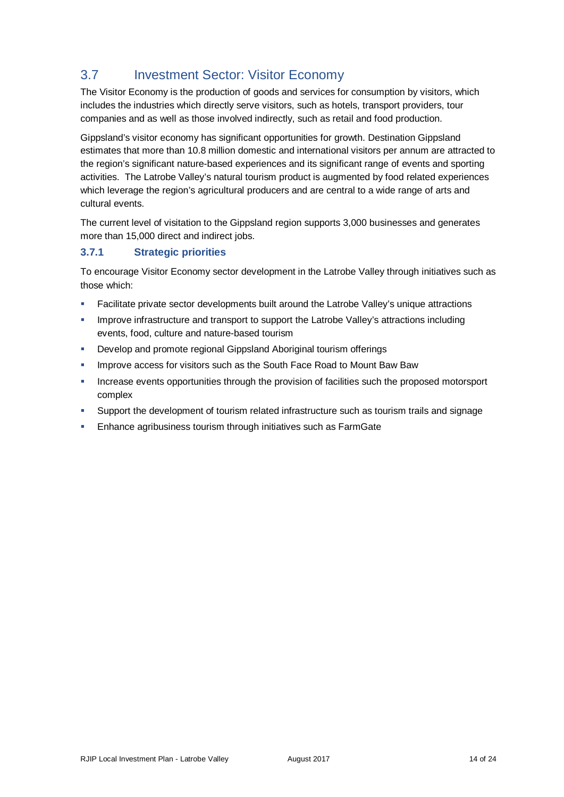## 3.7 Investment Sector: Visitor Economy

The Visitor Economy is the production of goods and services for consumption by visitors, which includes the industries which directly serve visitors, such as hotels, transport providers, tour companies and as well as those involved indirectly, such as retail and food production.

Gippsland's visitor economy has significant opportunities for growth. Destination Gippsland estimates that more than 10.8 million domestic and international visitors per annum are attracted to the region's significant nature-based experiences and its significant range of events and sporting activities. The Latrobe Valley's natural tourism product is augmented by food related experiences which leverage the region's agricultural producers and are central to a wide range of arts and cultural events.

The current level of visitation to the Gippsland region supports 3,000 businesses and generates more than 15,000 direct and indirect jobs.

## **3.7.1 Strategic priorities**

To encourage Visitor Economy sector development in the Latrobe Valley through initiatives such as those which:

- Facilitate private sector developments built around the Latrobe Valley's unique attractions
- Improve infrastructure and transport to support the Latrobe Valley's attractions including events, food, culture and nature-based tourism
- **Develop and promote regional Gippsland Aboriginal tourism offerings**
- Improve access for visitors such as the South Face Road to Mount Baw Baw
- **Increase events opportunities through the provision of facilities such the proposed motorsport** complex
- Support the development of tourism related infrastructure such as tourism trails and signage
- **Enhance agribusiness tourism through initiatives such as FarmGate**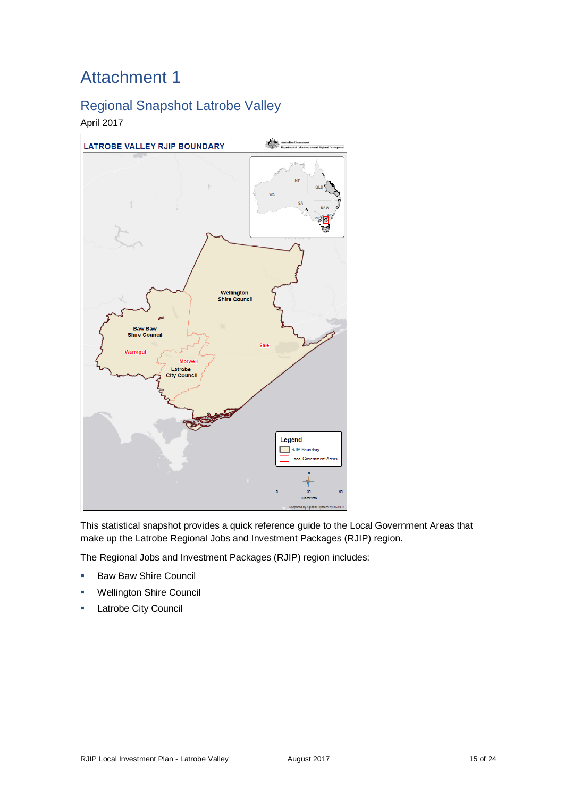## Attachment 1

## Regional Snapshot Latrobe Valley

## April 2017



This statistical snapshot provides a quick reference guide to the Local Government Areas that make up the Latrobe Regional Jobs and Investment Packages (RJIP) region.

The Regional Jobs and Investment Packages (RJIP) region includes:

- Baw Baw Shire Council
- Wellington Shire Council
- Latrobe City Council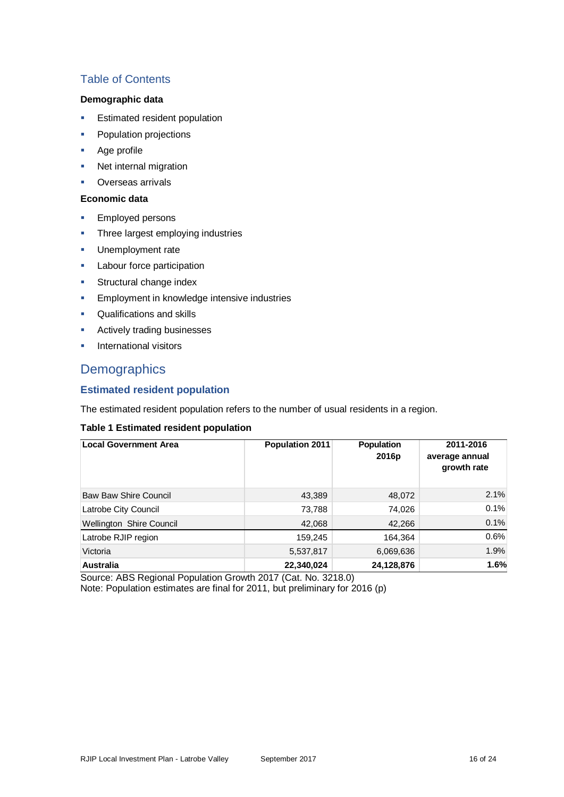## Table of Contents

#### **Demographic data**

- **Estimated resident population**
- **•** Population projections
- Age profile
- Net internal migration
- **Overseas arrivals**

#### **Economic data**

- **Employed persons**
- Three largest employing industries
- Unemployment rate
- Labour force participation
- Structural change index
- **Employment in knowledge intensive industries**
- Qualifications and skills
- **Actively trading businesses**
- **International visitors**

## **Demographics**

### **Estimated resident population**

The estimated resident population refers to the number of usual residents in a region.

#### **Table 1 Estimated resident population**

| <b>Local Government Area</b> | <b>Population 2011</b> | <b>Population</b><br>2016 <sub>p</sub> | 2011-2016<br>average annual<br>growth rate |
|------------------------------|------------------------|----------------------------------------|--------------------------------------------|
| <b>Baw Baw Shire Council</b> | 43,389                 | 48,072                                 | 2.1%                                       |
| Latrobe City Council         | 73,788                 | 74,026                                 | 0.1%                                       |
| Wellington Shire Council     | 42,068                 | 42,266                                 | 0.1%                                       |
| Latrobe RJIP region          | 159,245                | 164,364                                | 0.6%                                       |
| Victoria                     | 5,537,817              | 6,069,636                              | 1.9%                                       |
| <b>Australia</b>             | 22,340,024             | 24,128,876                             | 1.6%                                       |

Source: ABS Regional Population Growth 2017 (Cat. No. 3218.0) Note: Population estimates are final for 2011, but preliminary for 2016 (p)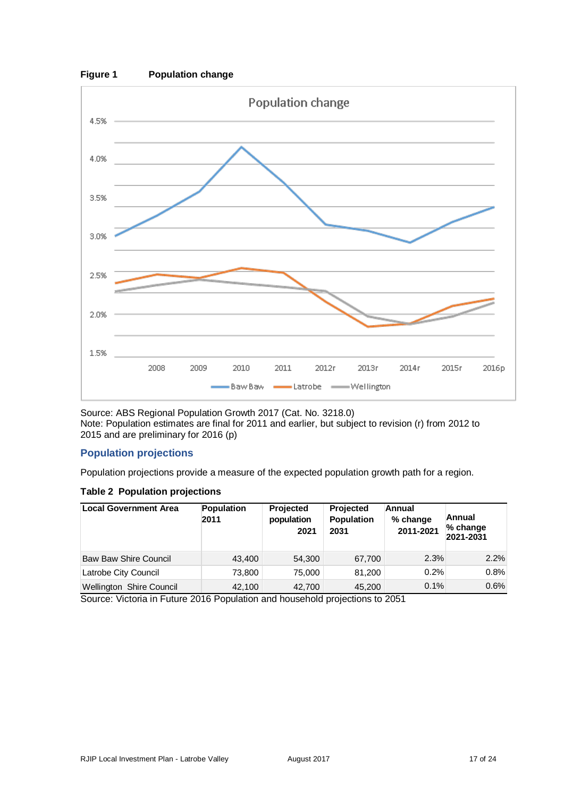

Source: ABS Regional Population Growth 2017 (Cat. No. 3218.0) Note: Population estimates are final for 2011 and earlier, but subject to revision (r) from 2012 to 2015 and are preliminary for 2016 (p)

### **Population projections**

Population projections provide a measure of the expected population growth path for a region.

#### **Table 2 Population projections**

| <b>Local Government Area</b> | <b>Population</b><br>2011 | <b>Projected</b><br>population<br>2021 | <b>Projected</b><br>Population<br>2031 | Annual<br>% change<br>2011-2021 | Annual<br>% change<br>2021-2031 |
|------------------------------|---------------------------|----------------------------------------|----------------------------------------|---------------------------------|---------------------------------|
| <b>Baw Baw Shire Council</b> | 43,400                    | 54,300                                 | 67,700                                 | 2.3%                            | 2.2%                            |
| Latrobe City Council         | 73.800                    | 75,000                                 | 81,200                                 | 0.2%                            | 0.8%                            |
| Wellington Shire Council     | 42,100                    | 42,700                                 | 45.200                                 | 0.1%                            | 0.6%                            |

Source: Victoria in Future 2016 Population and household projections to 2051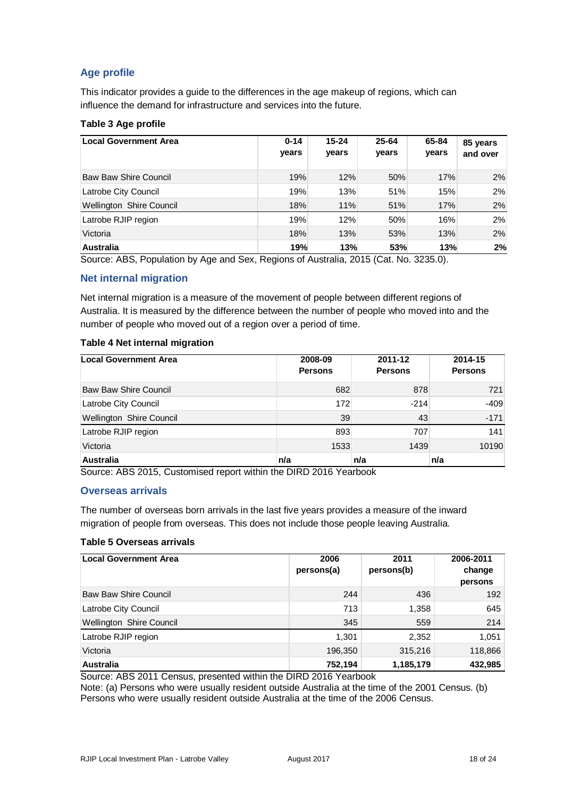## **Age profile**

This indicator provides a guide to the differences in the age makeup of regions, which can influence the demand for infrastructure and services into the future.

### **Table 3 Age profile**

| <b>Local Government Area</b>    | $0 - 14$<br>years | $15 - 24$<br>years | 25-64<br>years | 65-84<br>years | 85 years<br>and over |
|---------------------------------|-------------------|--------------------|----------------|----------------|----------------------|
| <b>Baw Baw Shire Council</b>    | 19%               | 12%                | 50%            | 17%            | 2%                   |
| Latrobe City Council            | 19%               | 13%                | 51%            | 15%            | 2%                   |
| <b>Wellington Shire Council</b> | 18%               | 11%                | 51%            | 17%            | 2%                   |
| Latrobe RJIP region             | 19%               | 12%                | 50%            | 16%            | 2%                   |
| Victoria                        | 18%               | 13%                | 53%            | 13%            | 2%                   |
| <b>Australia</b>                | 19%               | 13%                | 53%            | 13%            | 2%                   |

Source: ABS, Population by Age and Sex, Regions of Australia, 2015 (Cat. No. 3235.0).

### **Net internal migration**

Net internal migration is a measure of the movement of people between different regions of Australia. It is measured by the difference between the number of people who moved into and the number of people who moved out of a region over a period of time.

#### **Table 4 Net internal migration**

| <b>Local Government Area</b> | 2008-09<br><b>Persons</b> | 2011-12<br><b>Persons</b> | 2014-15<br><b>Persons</b> |
|------------------------------|---------------------------|---------------------------|---------------------------|
| <b>Baw Baw Shire Council</b> | 682                       | 878                       | 721                       |
| Latrobe City Council         | 172                       | $-214$                    | $-409$                    |
| Wellington Shire Council     | 39                        | 43                        | $-171$                    |
| Latrobe RJIP region          | 893                       | 707                       | 141                       |
| Victoria                     | 1533                      | 1439                      | 10190                     |
| <b>Australia</b>             | n/a                       | n/a                       | n/a                       |

Source: ABS 2015, Customised report within the DIRD 2016 Yearbook

#### **Overseas arrivals**

The number of overseas born arrivals in the last five years provides a measure of the inward migration of people from overseas. This does not include those people leaving Australia.

#### **Table 5 Overseas arrivals**

| <b>Local Government Area</b>    | 2006<br>persons(a) | 2011<br>persons(b) | 2006-2011<br>change<br>persons |
|---------------------------------|--------------------|--------------------|--------------------------------|
| <b>Baw Baw Shire Council</b>    | 244                | 436                | 192                            |
| Latrobe City Council            | 713                | 1,358              | 645                            |
| <b>Wellington Shire Council</b> | 345                | 559                | 214                            |
| Latrobe RJIP region             | 1.301              | 2,352              | 1,051                          |
| Victoria                        | 196,350            | 315,216            | 118,866                        |
| <b>Australia</b>                | 752,194            | 1,185,179          | 432,985                        |

Source: ABS 2011 Census, presented within the DIRD 2016 Yearbook

Note: (a) Persons who were usually resident outside Australia at the time of the 2001 Census. (b) Persons who were usually resident outside Australia at the time of the 2006 Census.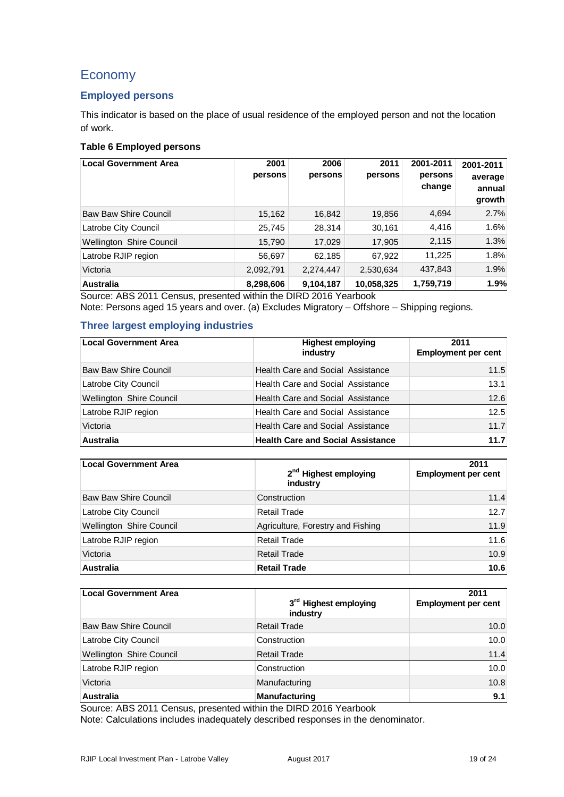## Economy

## **Employed persons**

This indicator is based on the place of usual residence of the employed person and not the location of work.

### **Table 6 Employed persons**

| <b>Local Government Area</b>            | 2001<br>persons | 2006<br>persons                 | 2011<br>persons | 2001-2011<br>persons<br>change | 2001-2011<br>average<br>annual<br>growth |
|-----------------------------------------|-----------------|---------------------------------|-----------------|--------------------------------|------------------------------------------|
| <b>Baw Baw Shire Council</b>            | 15,162          | 16,842                          | 19,856          | 4,694                          | 2.7%                                     |
| Latrobe City Council                    | 25,745          | 28,314                          | 30,161          | 4,416                          | 1.6%                                     |
| Wellington Shire Council                | 15,790          | 17,029                          | 17,905          | 2,115                          | 1.3%                                     |
| Latrobe RJIP region                     | 56,697          | 62,185                          | 67,922          | 11,225                         | 1.8%                                     |
| Victoria                                | 2,092,791       | 2,274,447                       | 2,530,634       | 437,843                        | 1.9%                                     |
| <b>Australia</b><br>$\sim$<br>1.7.2.1.7 | 8,298,606       | 9,104,187<br><b>BIBB 861631</b> | 10,058,325      | 1,759,719                      | 1.9%                                     |

Source: ABS 2011 Census, presented within the DIRD 2016 Yearbook

Note: Persons aged 15 years and over. (a) Excludes Migratory – Offshore – Shipping regions.

### **Three largest employing industries**

| <b>Local Government Area</b> | <b>Highest employing</b><br>industry     | 2011<br><b>Employment per cent</b> |
|------------------------------|------------------------------------------|------------------------------------|
| Baw Baw Shire Council        | Health Care and Social Assistance        | 11.5                               |
| Latrobe City Council         | Health Care and Social Assistance        | 13.1                               |
| Wellington Shire Council     | <b>Health Care and Social Assistance</b> | 12.6                               |
| Latrobe RJIP region          | <b>Health Care and Social Assistance</b> | 12.5                               |
| Victoria                     | Health Care and Social Assistance        | 11.7                               |
| <b>Australia</b>             | <b>Health Care and Social Assistance</b> | 11.7                               |

| <b>Local Government Area</b> | 2 <sup>nd</sup> Highest employing<br>industry |      |
|------------------------------|-----------------------------------------------|------|
| <b>Baw Baw Shire Council</b> | Construction                                  | 11.4 |
| Latrobe City Council         | Retail Trade                                  | 12.7 |
| Wellington Shire Council     | Agriculture, Forestry and Fishing             | 11.9 |
| Latrobe RJIP region          | <b>Retail Trade</b>                           | 11.6 |
| Victoria                     | Retail Trade                                  | 10.9 |
| <b>Australia</b>             | <b>Retail Trade</b>                           | 10.6 |

| <b>Local Government Area</b> | 3 <sup>rd</sup> Highest employing<br>industry | 2011<br><b>Employment per cent</b> |
|------------------------------|-----------------------------------------------|------------------------------------|
| <b>Baw Baw Shire Council</b> | <b>Retail Trade</b>                           | 10.0                               |
| Latrobe City Council         | Construction                                  | 10.0                               |
| Wellington Shire Council     | <b>Retail Trade</b>                           | 11.4                               |
| Latrobe RJIP region          | Construction                                  | 10.0                               |
| Victoria                     | Manufacturing                                 | 10.8                               |
| <b>Australia</b>             | <b>Manufacturing</b>                          | 9.1                                |

Source: ABS 2011 Census, presented within the DIRD 2016 Yearbook

Note: Calculations includes inadequately described responses in the denominator.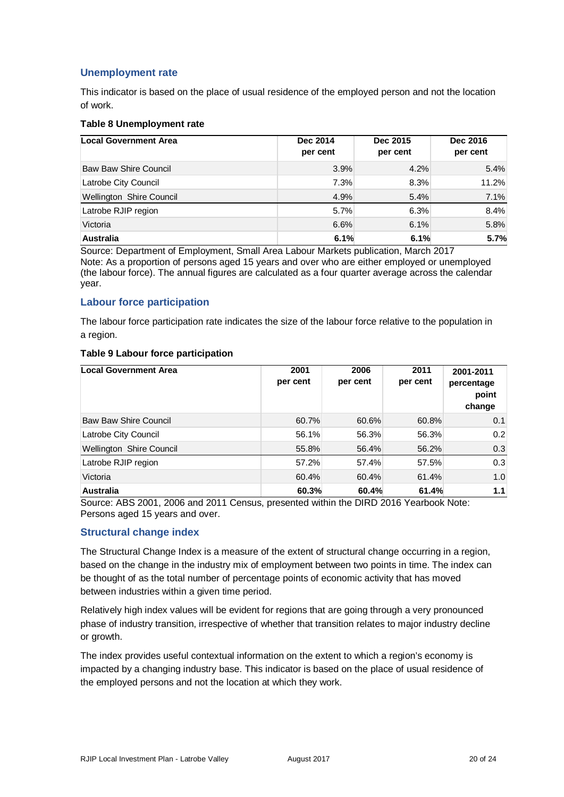## **Unemployment rate**

This indicator is based on the place of usual residence of the employed person and not the location of work.

#### **Table 8 Unemployment rate**

| <b>Local Government Area</b> | Dec 2014<br>per cent | Dec 2015<br>per cent | Dec 2016<br>per cent |  |
|------------------------------|----------------------|----------------------|----------------------|--|
| <b>Baw Baw Shire Council</b> | 3.9%                 | 4.2%                 | 5.4%                 |  |
| Latrobe City Council         | 7.3%                 | 8.3%                 | 11.2%                |  |
| Wellington Shire Council     | 4.9%                 | 5.4%                 | 7.1%                 |  |
| Latrobe RJIP region          | 5.7%                 | 6.3%                 | 8.4%                 |  |
| Victoria                     | 6.6%                 | 6.1%                 | 5.8%                 |  |
| <b>Australia</b>             | 6.1%                 | 6.1%                 | 5.7%                 |  |

Source: Department of Employment, Small Area Labour Markets publication, March 2017 Note: As a proportion of persons aged 15 years and over who are either employed or unemployed (the labour force). The annual figures are calculated as a four quarter average across the calendar year.

### **Labour force participation**

The labour force participation rate indicates the size of the labour force relative to the population in a region.

#### **Table 9 Labour force participation**

| Local Government Area           | 2001<br>per cent | 2006<br>per cent | 2011<br>per cent | 2001-2011<br>percentage<br>point<br>change |
|---------------------------------|------------------|------------------|------------------|--------------------------------------------|
| <b>Baw Baw Shire Council</b>    | 60.7%            | 60.6%            | 60.8%            | 0.1                                        |
| Latrobe City Council            | 56.1%            | 56.3%            | 56.3%            | 0.2                                        |
| <b>Wellington Shire Council</b> | 55.8%            | 56.4%            | 56.2%            | 0.3                                        |
| Latrobe RJIP region             | 57.2%            | 57.4%            | 57.5%            | 0.3                                        |
| Victoria                        | 60.4%            | 60.4%            | 61.4%            | 1.0                                        |
| <b>Australia</b>                | 60.3%            | 60.4%            | 61.4%            | 1.1                                        |

Source: ABS 2001, 2006 and 2011 Census, presented within the DIRD 2016 Yearbook Note: Persons aged 15 years and over.

#### **Structural change index**

The Structural Change Index is a measure of the extent of structural change occurring in a region, based on the change in the industry mix of employment between two points in time. The index can be thought of as the total number of percentage points of economic activity that has moved between industries within a given time period.

Relatively high index values will be evident for regions that are going through a very pronounced phase of industry transition, irrespective of whether that transition relates to major industry decline or growth.

The index provides useful contextual information on the extent to which a region's economy is impacted by a changing industry base. This indicator is based on the place of usual residence of the employed persons and not the location at which they work.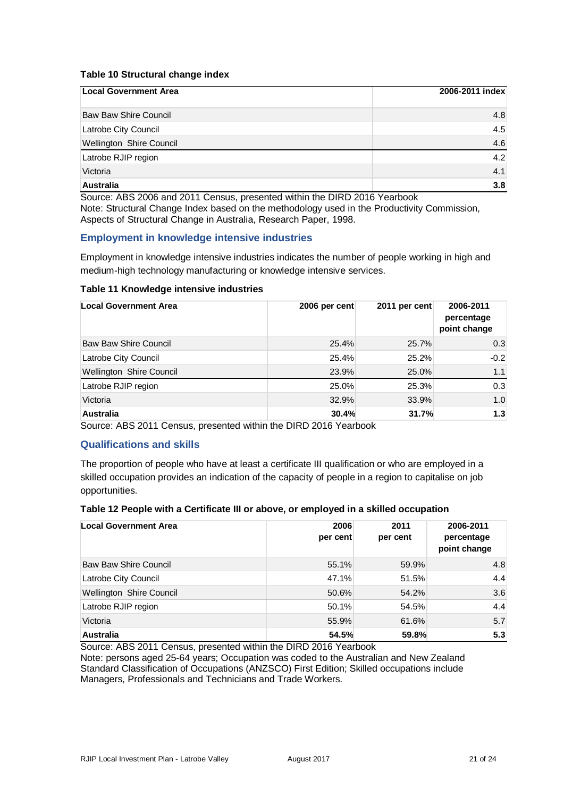#### **Table 10 Structural change index**

| <b>Local Government Area</b> | 2006-2011 index |
|------------------------------|-----------------|
| <b>Baw Baw Shire Council</b> | 4.8             |
| Latrobe City Council         | 4.5             |
| Wellington Shire Council     | 4.6             |
| Latrobe RJIP region          | 4.2             |
| Victoria                     | 4.1             |
| <b>Australia</b>             | 3.8             |

Source: ABS 2006 and 2011 Census, presented within the DIRD 2016 Yearbook Note: Structural Change Index based on the methodology used in the Productivity Commission, Aspects of Structural Change in Australia, Research Paper, 1998.

### **Employment in knowledge intensive industries**

Employment in knowledge intensive industries indicates the number of people working in high and medium-high technology manufacturing or knowledge intensive services.

#### **Table 11 Knowledge intensive industries**

| <b>Local Government Area</b> | 2006 per cent | 2011 per cent | 2006-2011<br>percentage<br>point change |
|------------------------------|---------------|---------------|-----------------------------------------|
| <b>Baw Baw Shire Council</b> | 25.4%         | 25.7%         | 0.3                                     |
| Latrobe City Council         | 25.4%         | 25.2%         | $-0.2$                                  |
| Wellington Shire Council     | 23.9%         | 25.0%         | 1.1                                     |
| Latrobe RJIP region          | 25.0%         | 25.3%         | 0.3                                     |
| Victoria                     | 32.9%         | 33.9%         | 1.0                                     |
| <b>Australia</b>             | 30.4%         | 31.7%         | 1.3                                     |

Source: ABS 2011 Census, presented within the DIRD 2016 Yearbook

#### **Qualifications and skills**

The proportion of people who have at least a certificate III qualification or who are employed in a skilled occupation provides an indication of the capacity of people in a region to capitalise on job opportunities.

#### **Table 12 People with a Certificate III or above, or employed in a skilled occupation**

| Local Government Area        | 2006<br>per cent | 2011<br>per cent | 2006-2011<br>percentage<br>point change |
|------------------------------|------------------|------------------|-----------------------------------------|
| <b>Baw Baw Shire Council</b> | 55.1%            | 59.9%            | 4.8                                     |
| Latrobe City Council         | 47.1%            | 51.5%            | 4.4                                     |
| Wellington Shire Council     | 50.6%            | 54.2%            | 3.6                                     |
| Latrobe RJIP region          | 50.1%            | 54.5%            | 4.4                                     |
| Victoria                     | 55.9%            | 61.6%            | 5.7                                     |
| <b>Australia</b>             | 54.5%            | 59.8%            | 5.3                                     |

Source: ABS 2011 Census, presented within the DIRD 2016 Yearbook

Note: persons aged 25-64 years; Occupation was coded to the Australian and New Zealand Standard Classification of Occupations (ANZSCO) First Edition; Skilled occupations include Managers, Professionals and Technicians and Trade Workers.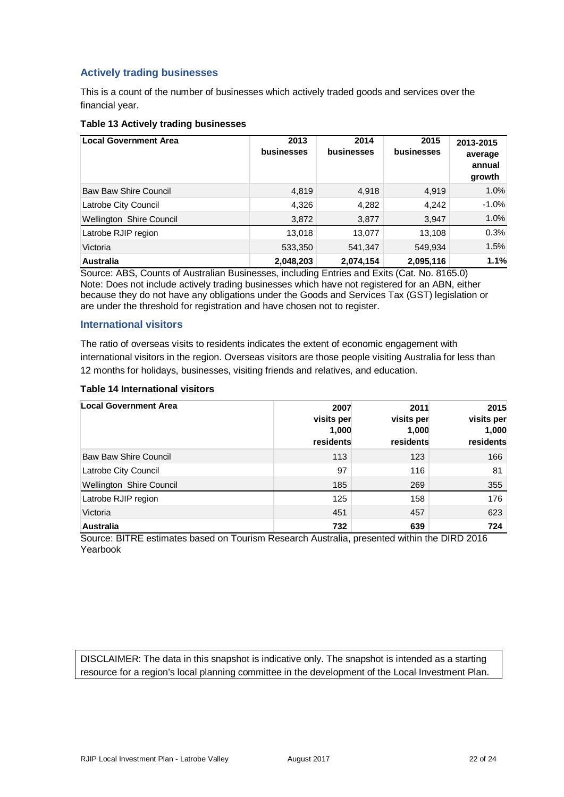## **Actively trading businesses**

This is a count of the number of businesses which actively traded goods and services over the financial year.

#### **Table 13 Actively trading businesses**

| <b>Local Government Area</b> | 2013<br>businesses | 2014<br>businesses | 2015<br>businesses | 2013-2015<br>average<br>annual<br>growth |
|------------------------------|--------------------|--------------------|--------------------|------------------------------------------|
| <b>Baw Baw Shire Council</b> | 4,819              | 4,918              | 4,919              | 1.0%                                     |
| Latrobe City Council         | 4,326              | 4,282              | 4,242              | $-1.0%$                                  |
| Wellington Shire Council     | 3,872              | 3,877              | 3,947              | 1.0%                                     |
| Latrobe RJIP region          | 13,018             | 13,077             | 13,108             | 0.3%                                     |
| Victoria                     | 533,350            | 541,347            | 549,934            | 1.5%                                     |
| <b>Australia</b>             | 2,048,203          | 2,074,154          | 2,095,116          | 1.1%                                     |

Source: ABS, Counts of Australian Businesses, including Entries and Exits (Cat. No. 8165.0) Note: Does not include actively trading businesses which have not registered for an ABN, either because they do not have any obligations under the Goods and Services Tax (GST) legislation or are under the threshold for registration and have chosen not to register.

#### **International visitors**

The ratio of overseas visits to residents indicates the extent of economic engagement with international visitors in the region. Overseas visitors are those people visiting Australia for less than 12 months for holidays, businesses, visiting friends and relatives, and education.

#### **Table 14 International visitors**

| Local Government Area        | 2007<br>visits per<br>1,000<br>residents | 2011<br>visits per<br>1,000<br>residents | 2015<br>visits per<br>1,000<br>residents |
|------------------------------|------------------------------------------|------------------------------------------|------------------------------------------|
| <b>Baw Baw Shire Council</b> | 113                                      | 123                                      | 166                                      |
| Latrobe City Council         | 97                                       | 116                                      | 81                                       |
| Wellington Shire Council     | 185                                      | 269                                      | 355                                      |
| Latrobe RJIP region          | 125                                      | 158                                      | 176                                      |
| Victoria                     | 451                                      | 457                                      | 623                                      |
| <b>Australia</b>             | 732                                      | 639                                      | 724                                      |

Source: BITRE estimates based on Tourism Research Australia, presented within the DIRD 2016 Yearbook

DISCLAIMER: The data in this snapshot is indicative only. The snapshot is intended as a starting resource for a region's local planning committee in the development of the Local Investment Plan.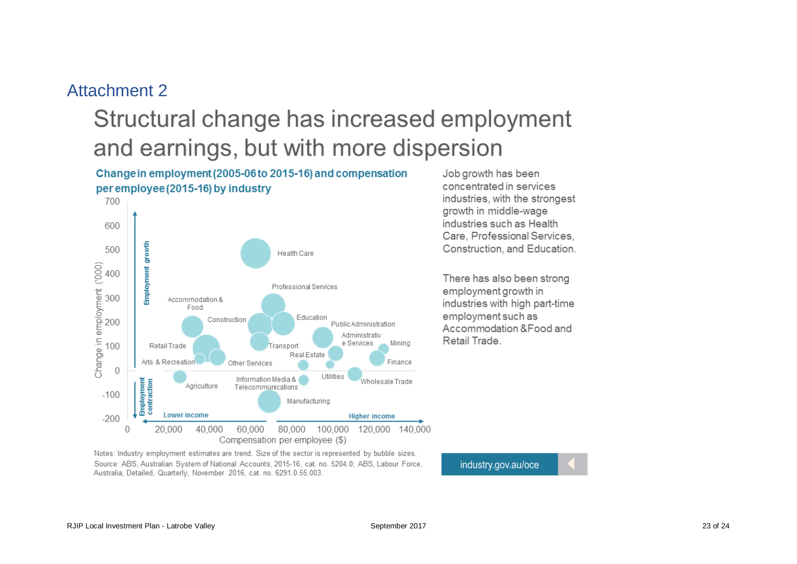## Attachment 2

# Structural change has increased employment and earnings, but with more dispersion

## Change in employment (2005-06 to 2015-16) and compensation per employee (2015-16) by industry



Job growth has been concentrated in services industries, with the strongest growth in middle-wage industries such as Health Care, Professional Services. Construction, and Education.

There has also been strong employment growth in industries with high part-time employment such as Accommodation & Food and Retail Trade.

Notes: Industry employment estimates are trend. Size of the sector is represented by bubble sizes. Source: ABS, Australian System of National Accounts, 2015-16, cat. no. 5204.0; ABS, Labour Force, Australia, Detailed, Quarterly, November 2016, cat. no. 6291.0.55.003.

industry.gov.au/oce